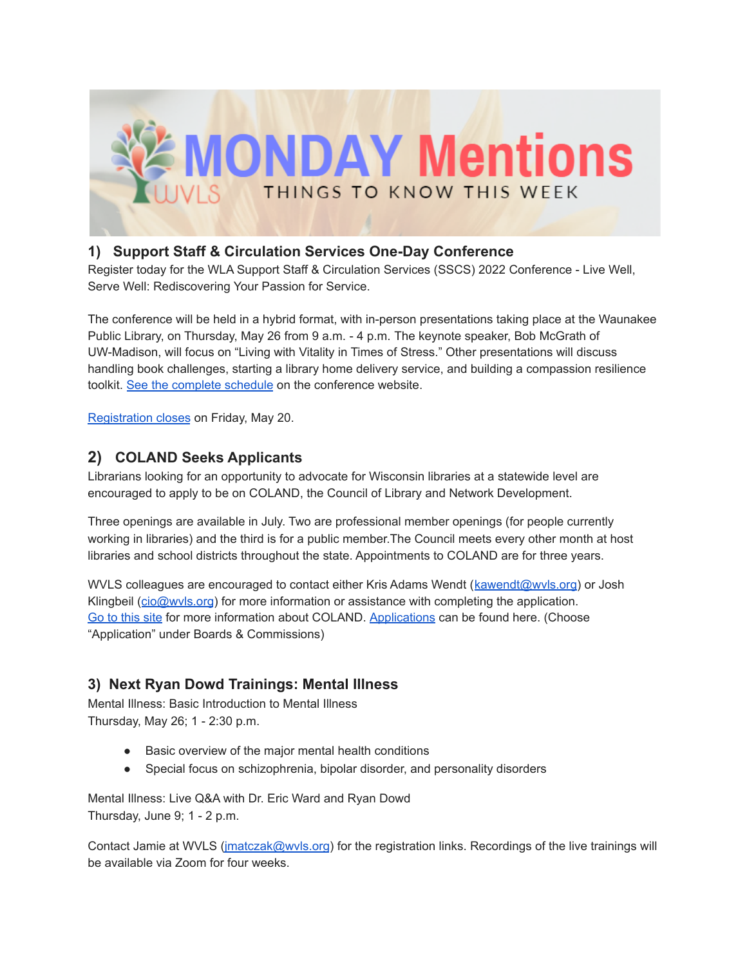

# **1) Support Staff & Circulation Services One-Day Conference**

Register today for the WLA Support Staff & Circulation Services (SSCS) 2022 Conference - Live Well, Serve Well: Rediscovering Your Passion for Service.

The conference will be held in a hybrid format, with in-person presentations taking place at the Waunakee Public Library, on Thursday, May 26 from 9 a.m. - 4 p.m. The keynote speaker, Bob McGrath of UW-Madison, will focus on "Living with Vitality in Times of Stress." Other presentations will discuss handling book challenges, starting a library home delivery service, and building a compassion resilience toolkit. See the [complete](https://www.wisconsinlibraries.org/sscs-conference) schedule on the conference website.

[Registration](https://wla.memberclicks.net/index.php?option=com_mcform&view=ngforms&id=2123851#/) closes on Friday, May 20.

## **2) COLAND Seeks Applicants**

Librarians looking for an opportunity to advocate for Wisconsin libraries at a statewide level are encouraged to apply to be on COLAND, the Council of Library and Network Development.

Three openings are available in July. Two are professional member openings (for people currently working in libraries) and the third is for a public member.The Council meets every other month at host libraries and school districts throughout the state. Appointments to COLAND are for three years.

WVLS colleagues are encouraged to contact either Kris Adams Wendt (kawendt@wyls.org) or Josh Klingbeil ([cio@wvls.org](mailto:cio@wvls.org)) for more information or assistance with completing the application. Go to [this](https://dpi.wi.gov/coland) site for more information about COLAND. [Applications](https://evers.wi.gov/Pages/Application_Process.aspx) can be found here. (Choose "Application" under Boards & Commissions)

## **3) Next Ryan Dowd Trainings: Mental Illness**

Mental Illness: Basic Introduction to Mental Illness Thursday, May 26; 1 - 2:30 p.m.

- Basic overview of the major mental health conditions
- Special focus on schizophrenia, bipolar disorder, and personality disorders

Mental Illness: Live Q&A with Dr. Eric Ward and Ryan Dowd Thursday, June 9; 1 - 2 p.m.

Contact Jamie at WVLS [\(jmatczak@wvls.org](mailto:jmatczak@wvls.org)) for the registration links. Recordings of the live trainings will be available via Zoom for four weeks.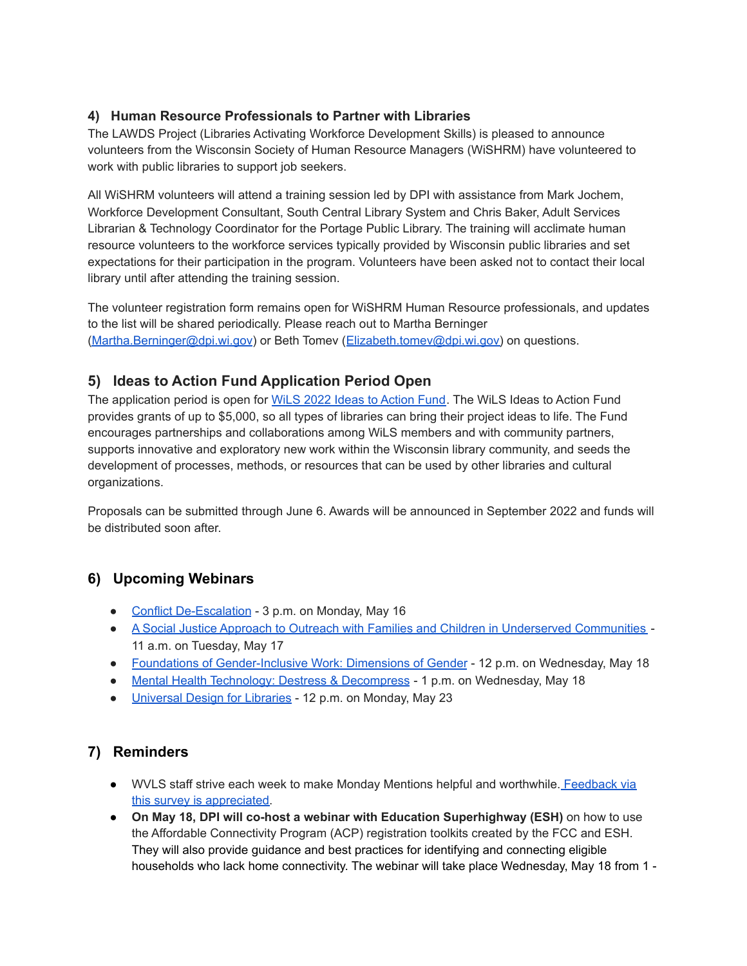#### **4) Human Resource Professionals to Partner with Libraries**

The LAWDS Project (Libraries Activating Workforce Development Skills) is pleased to announce volunteers from the Wisconsin Society of Human Resource Managers (WiSHRM) have volunteered to work with public libraries to support job seekers.

All WiSHRM volunteers will attend a training session led by DPI with assistance from Mark Jochem, Workforce Development Consultant, South Central Library System and Chris Baker, Adult Services Librarian & Technology Coordinator for the Portage Public Library. The training will acclimate human resource volunteers to the workforce services typically provided by Wisconsin public libraries and set expectations for their participation in the program. Volunteers have been asked not to contact their local library until after attending the training session.

The volunteer registration form remains open for WiSHRM Human Resource professionals, and updates to the list will be shared periodically. Please reach out to Martha Berninger [\(Martha.Berninger@dpi.wi.gov](mailto:Martha.Berninger@dpi.wi.gov)) or Beth Tomev ([Elizabeth.tomev@dpi.wi.gov\)](mailto:Elizabeth.tomev@dpi.wi.gov) on questions.

### **5) Ideas to Action Fund Application Period Open**

The application period is open for WiLS 2022 Ideas to [Action](https://www.wils.org/do/giving-back/ideas-to-action/) Fund. The WiLS Ideas to Action Fund provides grants of up to \$5,000, so all types of libraries can bring their project ideas to life. The Fund encourages partnerships and collaborations among WiLS members and with community partners, supports innovative and exploratory new work within the Wisconsin library community, and seeds the development of processes, methods, or resources that can be used by other libraries and cultural organizations.

Proposals can be submitted through June 6. Awards will be announced in September 2022 and funds will be distributed soon after.

## **6) Upcoming Webinars**

- Conflict [De-Escalation](https://zoom.us/webinar/register/WN_U5UsKJxdQZeA-t2cPaWJNg?timezone_id=America%2FChicago) 3 p.m. on Monday, May 16
- A Social Justice Approach to Outreach with Families and Children in Underserved [Communities](https://elearning.ala.org/local/catalog/view/product.php?globalid=ALSC-0012&edit=off) 11 a.m. on Tuesday, May 17
- Foundations of [Gender-Inclusive](https://us02web.zoom.us/meeting/register/tZApcu6uqTopHdb2NFsu7SK4E4xBq-2-b8o2?timezone_id=America%2FChicago) Work: Dimensions of Gender 12 p.m. on Wednesday, May 18
- Mental Health Technology: Destress & [Decompress](https://us02web.zoom.us/webinar/register/WN_Av8FtF4xRE2okByVck1mtg) 1 p.m. on Wednesday, May 18
- [Universal](https://us02web.zoom.us/webinar/register/WN_ftxre3GQSE6IM5uggwRK0A?timezone_id=America%2FChicago) Design for Libraries 12 p.m. on Monday, May 23

### **7) Reminders**

- WVLS staff strive each week to make Monday Mentions helpful and worthwhile. [Feedback](https://forms.gle/xHyNKCsK2r5C8vxh8) via this survey is [appreciated.](https://forms.gle/xHyNKCsK2r5C8vxh8)
- **On May 18, DPI will co-host a webinar with Education Superhighway (ESH)** on how to use the Affordable Connectivity Program (ACP) registration toolkits created by the FCC and ESH. They will also provide guidance and best practices for identifying and connecting eligible households who lack home connectivity. The webinar will take place Wednesday, May 18 from 1 -